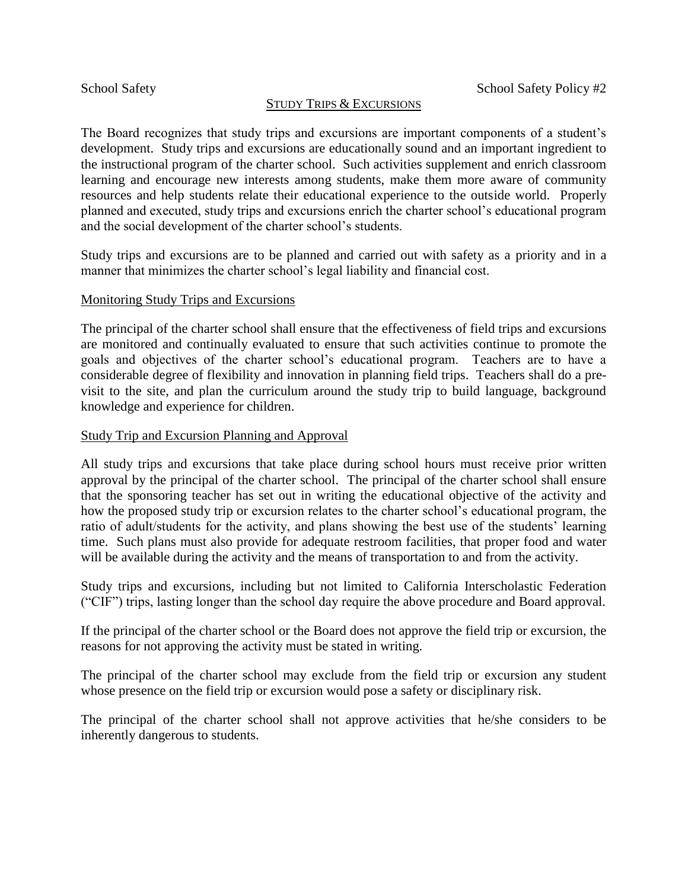## STUDY TRIPS & EXCURSIONS

The Board recognizes that study trips and excursions are important components of a student's development. Study trips and excursions are educationally sound and an important ingredient to the instructional program of the charter school. Such activities supplement and enrich classroom learning and encourage new interests among students, make them more aware of community resources and help students relate their educational experience to the outside world. Properly planned and executed, study trips and excursions enrich the charter school's educational program and the social development of the charter school's students.

Study trips and excursions are to be planned and carried out with safety as a priority and in a manner that minimizes the charter school's legal liability and financial cost.

### Monitoring Study Trips and Excursions

The principal of the charter school shall ensure that the effectiveness of field trips and excursions are monitored and continually evaluated to ensure that such activities continue to promote the goals and objectives of the charter school's educational program. Teachers are to have a considerable degree of flexibility and innovation in planning field trips. Teachers shall do a previsit to the site, and plan the curriculum around the study trip to build language, background knowledge and experience for children.

### Study Trip and Excursion Planning and Approval

All study trips and excursions that take place during school hours must receive prior written approval by the principal of the charter school. The principal of the charter school shall ensure that the sponsoring teacher has set out in writing the educational objective of the activity and how the proposed study trip or excursion relates to the charter school's educational program, the ratio of adult/students for the activity, and plans showing the best use of the students' learning time. Such plans must also provide for adequate restroom facilities, that proper food and water will be available during the activity and the means of transportation to and from the activity.

Study trips and excursions, including but not limited to California Interscholastic Federation ("CIF") trips, lasting longer than the school day require the above procedure and Board approval.

If the principal of the charter school or the Board does not approve the field trip or excursion, the reasons for not approving the activity must be stated in writing.

The principal of the charter school may exclude from the field trip or excursion any student whose presence on the field trip or excursion would pose a safety or disciplinary risk.

The principal of the charter school shall not approve activities that he/she considers to be inherently dangerous to students.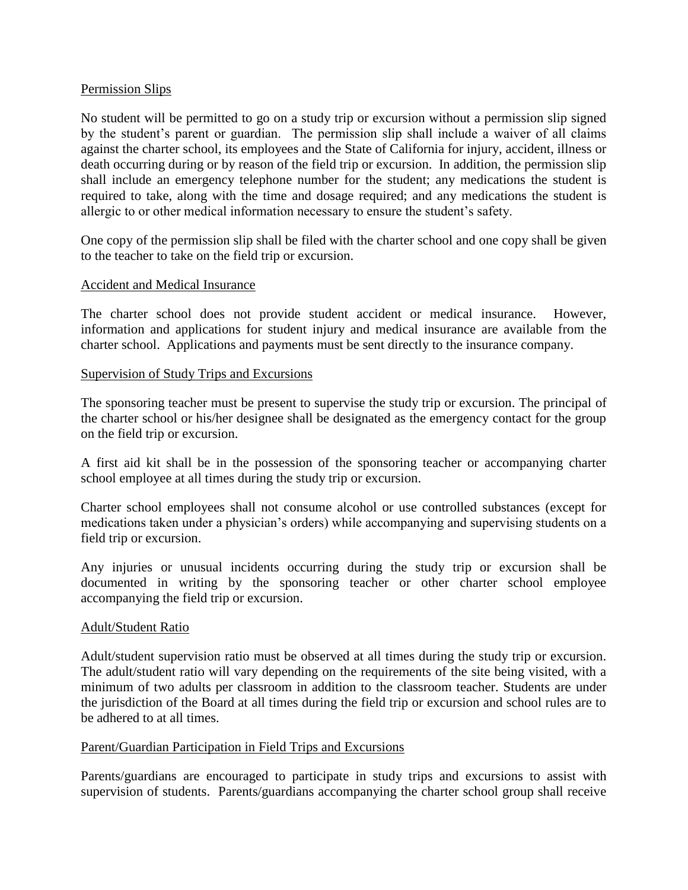## Permission Slips

No student will be permitted to go on a study trip or excursion without a permission slip signed by the student's parent or guardian. The permission slip shall include a waiver of all claims against the charter school, its employees and the State of California for injury, accident, illness or death occurring during or by reason of the field trip or excursion. In addition, the permission slip shall include an emergency telephone number for the student; any medications the student is required to take, along with the time and dosage required; and any medications the student is allergic to or other medical information necessary to ensure the student's safety.

One copy of the permission slip shall be filed with the charter school and one copy shall be given to the teacher to take on the field trip or excursion.

### Accident and Medical Insurance

The charter school does not provide student accident or medical insurance. However, information and applications for student injury and medical insurance are available from the charter school. Applications and payments must be sent directly to the insurance company.

### Supervision of Study Trips and Excursions

The sponsoring teacher must be present to supervise the study trip or excursion. The principal of the charter school or his/her designee shall be designated as the emergency contact for the group on the field trip or excursion.

A first aid kit shall be in the possession of the sponsoring teacher or accompanying charter school employee at all times during the study trip or excursion.

Charter school employees shall not consume alcohol or use controlled substances (except for medications taken under a physician's orders) while accompanying and supervising students on a field trip or excursion.

Any injuries or unusual incidents occurring during the study trip or excursion shall be documented in writing by the sponsoring teacher or other charter school employee accompanying the field trip or excursion.

## Adult/Student Ratio

Adult/student supervision ratio must be observed at all times during the study trip or excursion. The adult/student ratio will vary depending on the requirements of the site being visited, with a minimum of two adults per classroom in addition to the classroom teacher. Students are under the jurisdiction of the Board at all times during the field trip or excursion and school rules are to be adhered to at all times.

#### Parent/Guardian Participation in Field Trips and Excursions

Parents/guardians are encouraged to participate in study trips and excursions to assist with supervision of students. Parents/guardians accompanying the charter school group shall receive